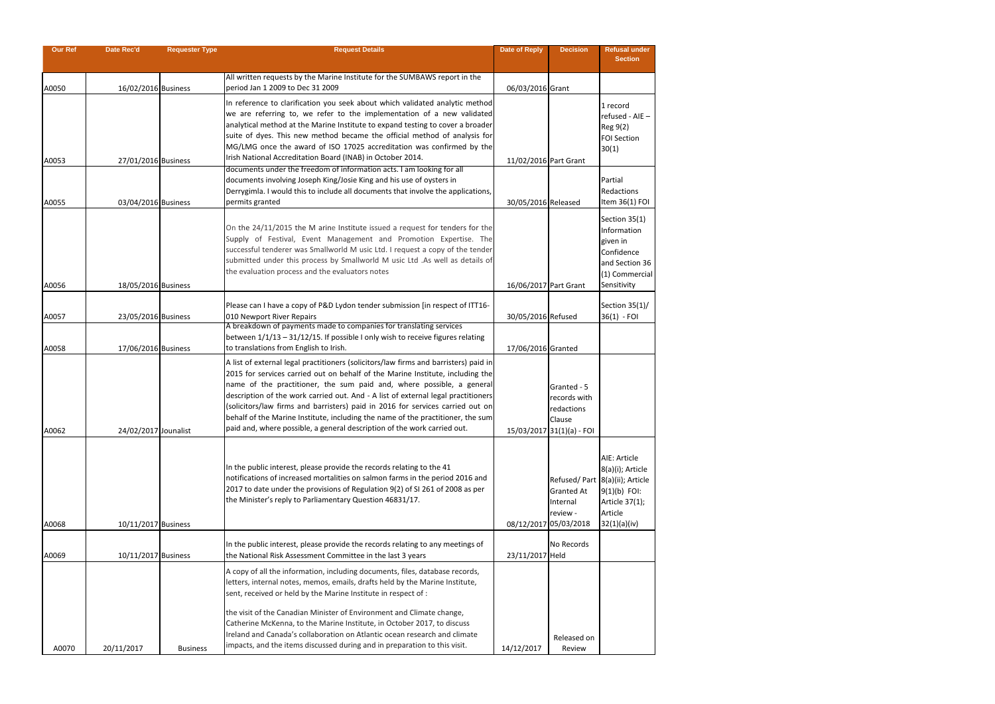| <b>Our Ref</b> | <b>Date Rec'd</b>    | <b>Requester Type</b> | <b>Request Details</b>                                                                                                                                         | <b>Date of Reply</b>  | <b>Decision</b>               | <b>Refusal under</b>             |
|----------------|----------------------|-----------------------|----------------------------------------------------------------------------------------------------------------------------------------------------------------|-----------------------|-------------------------------|----------------------------------|
|                |                      |                       |                                                                                                                                                                |                       |                               | <b>Section</b>                   |
|                |                      |                       | All written requests by the Marine Institute for the SUMBAWS report in the                                                                                     |                       |                               |                                  |
| A0050          | 16/02/2016 Business  |                       | period Jan 1 2009 to Dec 31 2009                                                                                                                               | 06/03/2016 Grant      |                               |                                  |
|                |                      |                       | In reference to clarification you seek about which validated analytic method                                                                                   |                       |                               | 1 record                         |
|                |                      |                       | we are referring to, we refer to the implementation of a new validated                                                                                         |                       |                               | $refused - AIE -$                |
|                |                      |                       | analytical method at the Marine Institute to expand testing to cover a broader                                                                                 |                       |                               | Reg 9(2)                         |
|                |                      |                       | suite of dyes. This new method became the official method of analysis for                                                                                      |                       |                               | <b>FOI Section</b>               |
|                |                      |                       | MG/LMG once the award of ISO 17025 accreditation was confirmed by the<br>Irish National Accreditation Board (INAB) in October 2014.                            |                       |                               | 30(1)                            |
| A0053          | 27/01/2016 Business  |                       | documents under the freedom of information acts. I am looking for all                                                                                          | 11/02/2016 Part Grant |                               |                                  |
|                |                      |                       | documents involving Joseph King/Josie King and his use of oysters in                                                                                           |                       |                               | Partial                          |
|                |                      |                       | Derrygimla. I would this to include all documents that involve the applications,                                                                               |                       |                               | Redactions                       |
| A0055          | 03/04/2016 Business  |                       | permits granted                                                                                                                                                | 30/05/2016 Released   |                               | Item 36(1) FOI                   |
|                |                      |                       |                                                                                                                                                                |                       |                               | Section 35(1)                    |
|                |                      |                       | On the 24/11/2015 the M arine Institute issued a request for tenders for the                                                                                   |                       |                               | Information                      |
|                |                      |                       | Supply of Festival, Event Management and Promotion Expertise. The<br>successful tenderer was Smallworld M usic Ltd. I request a copy of the tender             |                       |                               | given in                         |
|                |                      |                       | submitted under this process by Smallworld M usic Ltd .As well as details of                                                                                   |                       |                               | Confidence<br>and Section 36     |
|                |                      |                       | the evaluation process and the evaluators notes                                                                                                                |                       |                               | (1) Commercial                   |
| A0056          | 18/05/2016 Business  |                       |                                                                                                                                                                | 16/06/2017 Part Grant |                               | Sensitivity                      |
|                |                      |                       |                                                                                                                                                                |                       |                               |                                  |
| A0057          | 23/05/2016 Business  |                       | Please can I have a copy of P&D Lydon tender submission [in respect of ITT16-<br>010 Newport River Repairs                                                     | 30/05/2016 Refused    |                               | Section 35(1)/<br>$36(1) - FOI$  |
|                |                      |                       | A breakdown of payments made to companies for translating services                                                                                             |                       |                               |                                  |
|                |                      |                       | between 1/1/13 - 31/12/15. If possible I only wish to receive figures relating                                                                                 |                       |                               |                                  |
| A0058          | 17/06/2016 Business  |                       | to translations from English to Irish.                                                                                                                         | 17/06/2016 Granted    |                               |                                  |
|                |                      |                       | A list of external legal practitioners (solicitors/law firms and barristers) paid in                                                                           |                       |                               |                                  |
|                |                      |                       | 2015 for services carried out on behalf of the Marine Institute, including the                                                                                 |                       |                               |                                  |
|                |                      |                       | name of the practitioner, the sum paid and, where possible, a general<br>description of the work carried out. And - A list of external legal practitioners     |                       | Granted - 5                   |                                  |
|                |                      |                       | (solicitors/law firms and barristers) paid in 2016 for services carried out on                                                                                 |                       | records with<br>redactions    |                                  |
|                |                      |                       | behalf of the Marine Institute, including the name of the practitioner, the sum                                                                                |                       | Clause                        |                                  |
| A0062          | 24/02/2017 Jounalist |                       | paid and, where possible, a general description of the work carried out.                                                                                       |                       | 15/03/2017 31(1)(a) - FOI     |                                  |
|                |                      |                       |                                                                                                                                                                |                       |                               |                                  |
|                |                      |                       |                                                                                                                                                                |                       |                               | AIE: Article                     |
|                |                      |                       | In the public interest, please provide the records relating to the 41                                                                                          |                       |                               | 8(a)(i); Article                 |
|                |                      |                       | notifications of increased mortalities on salmon farms in the period 2016 and<br>2017 to date under the provisions of Regulation 9(2) of SI 261 of 2008 as per |                       |                               | Refused/ Part 8(a)(ii); Article  |
|                |                      |                       | the Minister's reply to Parliamentary Question 46831/17.                                                                                                       |                       | <b>Granted At</b><br>Internal | $9(1)(b)$ FOI:<br>Article 37(1); |
|                |                      |                       |                                                                                                                                                                |                       | review -                      | Article                          |
| A0068          | 10/11/2017 Business  |                       |                                                                                                                                                                |                       | 08/12/2017 05/03/2018         | 32(1)(a)(iv)                     |
|                |                      |                       |                                                                                                                                                                |                       |                               |                                  |
| A0069          | 10/11/2017 Business  |                       | In the public interest, please provide the records relating to any meetings of<br>the National Risk Assessment Committee in the last 3 years                   | 23/11/2017 Held       | No Records                    |                                  |
|                |                      |                       |                                                                                                                                                                |                       |                               |                                  |
|                |                      |                       | A copy of all the information, including documents, files, database records,<br>letters, internal notes, memos, emails, drafts held by the Marine Institute,   |                       |                               |                                  |
|                |                      |                       | sent, received or held by the Marine Institute in respect of :                                                                                                 |                       |                               |                                  |
|                |                      |                       |                                                                                                                                                                |                       |                               |                                  |
|                |                      |                       | the visit of the Canadian Minister of Environment and Climate change,<br>Catherine McKenna, to the Marine Institute, in October 2017, to discuss               |                       |                               |                                  |
|                |                      |                       | Ireland and Canada's collaboration on Atlantic ocean research and climate                                                                                      |                       |                               |                                  |
| A0070          | 20/11/2017           | <b>Business</b>       | impacts, and the items discussed during and in preparation to this visit.                                                                                      | 14/12/2017            | Released on<br>Review         |                                  |
|                |                      |                       |                                                                                                                                                                |                       |                               |                                  |